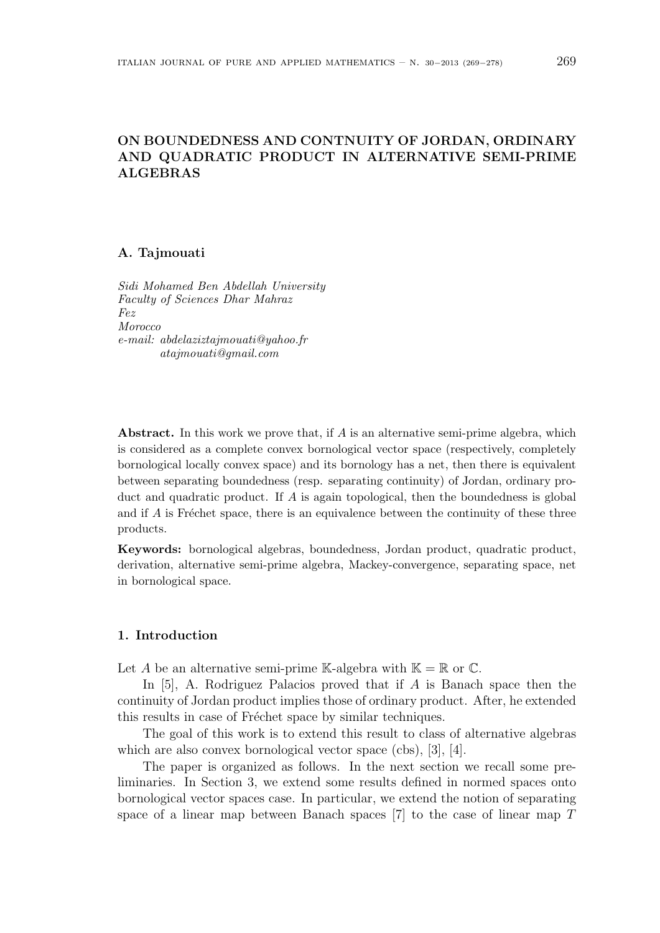# **ON BOUNDEDNESS AND CONTNUITY OF JORDAN, ORDINARY AND QUADRATIC PRODUCT IN ALTERNATIVE SEMI-PRIME ALGEBRAS**

### **A. Tajmouati**

*Sidi Mohamed Ben Abdellah University Faculty of Sciences Dhar Mahraz Fez Morocco e-mail: abdelaziztajmouati@yahoo.fr atajmouati@gmail.com*

**Abstract.** In this work we prove that, if *A* is an alternative semi-prime algebra, which is considered as a complete convex bornological vector space (respectively, completely bornological locally convex space) and its bornology has a net, then there is equivalent between separating boundedness (resp. separating continuity) of Jordan, ordinary product and quadratic product. If *A* is again topological, then the boundedness is global and if  $A$  is Fréchet space, there is an equivalence between the continuity of these three products.

**Keywords:** bornological algebras, boundedness, Jordan product, quadratic product, derivation, alternative semi-prime algebra, Mackey-convergence, separating space, net in bornological space.

# **1. Introduction**

Let *A* be an alternative semi-prime K-algebra with  $K = \mathbb{R}$  or  $\mathbb{C}$ .

In [5], A. Rodriguez Palacios proved that if *A* is Banach space then the continuity of Jordan product implies those of ordinary product. After, he extended this results in case of Fréchet space by similar techniques.

The goal of this work is to extend this result to class of alternative algebras which are also convex bornological vector space (cbs), [3], [4].

The paper is organized as follows. In the next section we recall some preliminaries. In Section 3, we extend some results defined in normed spaces onto bornological vector spaces case. In particular, we extend the notion of separating space of a linear map between Banach spaces [7] to the case of linear map *T*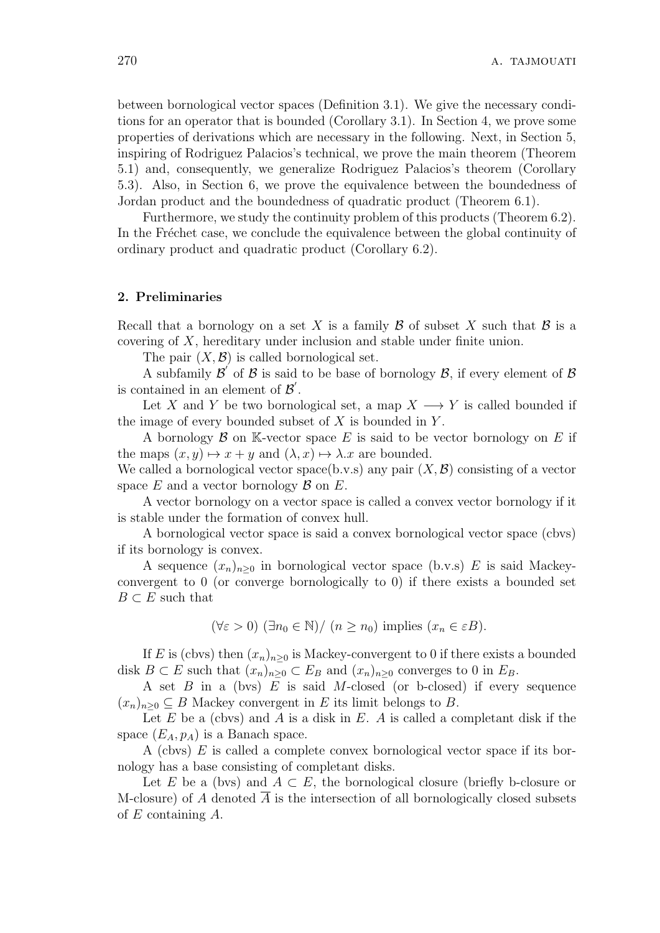between bornological vector spaces (Definition 3.1). We give the necessary conditions for an operator that is bounded (Corollary 3.1). In Section 4, we prove some properties of derivations which are necessary in the following. Next, in Section 5, inspiring of Rodriguez Palacios's technical, we prove the main theorem (Theorem 5.1) and, consequently, we generalize Rodriguez Palacios's theorem (Corollary 5.3). Also, in Section 6, we prove the equivalence between the boundedness of Jordan product and the boundedness of quadratic product (Theorem 6.1).

Furthermore, we study the continuity problem of this products (Theorem 6.2). In the Fréchet case, we conclude the equivalence between the global continuity of ordinary product and quadratic product (Corollary 6.2).

## **2. Preliminaries**

Recall that a bornology on a set X is a family  $\beta$  of subset X such that  $\beta$  is a covering of *X*, hereditary under inclusion and stable under finite union.

The pair  $(X, \mathcal{B})$  is called bornological set.

A subfamily *B ′* of *B* is said to be base of bornology *B*, if every element of *B* is contained in an element of  $\mathcal{B}'$ .

Let *X* and *Y* be two bornological set, a map  $X \longrightarrow Y$  is called bounded if the image of every bounded subset of *X* is bounded in *Y* .

A bornology  $\beta$  on K-vector space  $E$  is said to be vector bornology on  $E$  if the maps  $(x, y) \mapsto x + y$  and  $(\lambda, x) \mapsto \lambda \cdot x$  are bounded.

We called a bornological vector space(b.v.s) any pair  $(X, \mathcal{B})$  consisting of a vector space *E* and a vector bornology *B* on *E*.

A vector bornology on a vector space is called a convex vector bornology if it is stable under the formation of convex hull.

A bornological vector space is said a convex bornological vector space (cbvs) if its bornology is convex.

A sequence  $(x_n)_{n>0}$  in bornological vector space (b.v.s) E is said Mackeyconvergent to 0 (or converge bornologically to 0) if there exists a bounded set  $B \subset E$  such that

$$
(\forall \varepsilon > 0) \ (\exists n_0 \in \mathbb{N}) / (n \ge n_0) \text{ implies } (x_n \in \varepsilon B).
$$

If *E* is (cbvs) then  $(x_n)_{n\geq 0}$  is Mackey-convergent to 0 if there exists a bounded disk  $B \subset E$  such that  $(x_n)_{n\geq 0} \subset E_B$  and  $(x_n)_{n\geq 0}$  converges to 0 in  $E_B$ .

A set *B* in a (bvs) *E* is said *M*-closed (or b-closed) if every sequence  $(x_n)_{n>0}$  ⊆ *B* Mackey convergent in *E* its limit belongs to *B*.

Let *E* be a (cbvs) and *A* is a disk in *E*. *A* is called a completant disk if the space  $(E_A, p_A)$  is a Banach space.

A (cbvs) *E* is called a complete convex bornological vector space if its bornology has a base consisting of completant disks.

Let *E* be a (bvs) and  $A \subset E$ , the bornological closure (briefly b-closure or M-closure) of *A* denoted *A* is the intersection of all bornologically closed subsets of *E* containing *A*.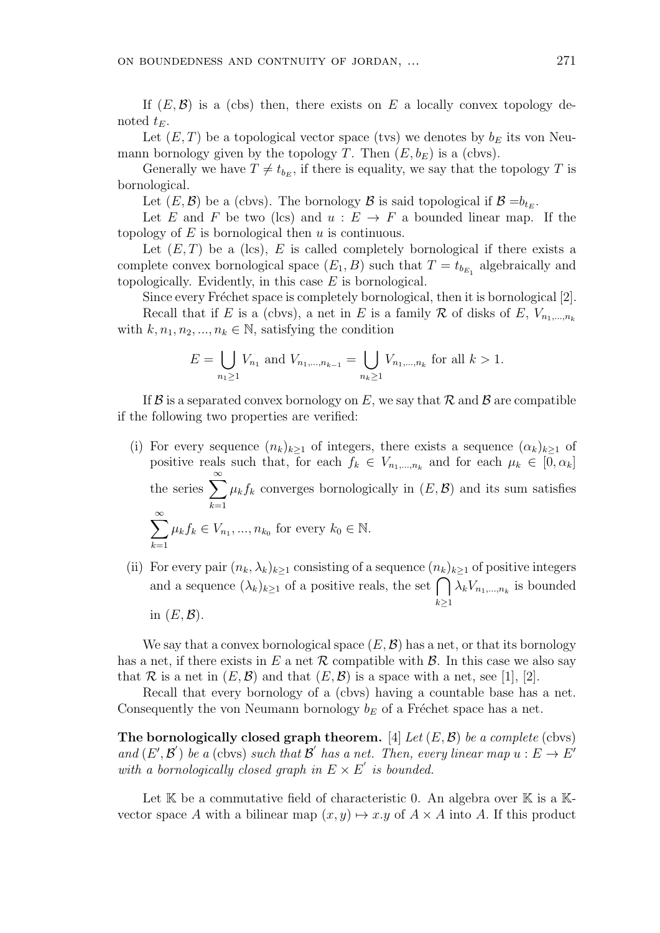If  $(E, \mathcal{B})$  is a (cbs) then, there exists on  $E$  a locally convex topology denoted  $t_E$ .

Let  $(E, T)$  be a topological vector space (tvs) we denotes by  $b_E$  its von Neumann bornology given by the topology *T*. Then  $(E, b_E)$  is a (cbvs).

Generally we have  $T \neq t_{b_E}$ , if there is equality, we say that the topology *T* is bornological.

Let  $(E, \mathcal{B})$  be a (cbvs). The bornology  $\mathcal{B}$  is said topological if  $\mathcal{B} = b_{t_E}$ .

Let *E* and *F* be two (lcs) and  $u : E \to F$  a bounded linear map. If the topology of *E* is bornological then *u* is continuous.

Let  $(E, T)$  be a (lcs),  $E$  is called completely bornological if there exists a complete convex bornological space  $(E_1, B)$  such that  $T = t_{b_{E_1}}$  algebraically and topologically. Evidently, in this case *E* is bornological.

Since every Fréchet space is completely bornological, then it is bornological [2].

Recall that if *E* is a (cbvs), a net in *E* is a family  $\mathcal R$  of disks of *E*,  $V_{n_1,...,n_k}$ with  $k, n_1, n_2, ..., n_k \in \mathbb{N}$ , satisfying the condition

$$
E = \bigcup_{n_1 \ge 1} V_{n_1} \text{ and } V_{n_1, \dots, n_{k-1}} = \bigcup_{n_k \ge 1} V_{n_1, \dots, n_k} \text{ for all } k > 1.
$$

If  $\mathcal{B}$  is a separated convex bornology on E, we say that  $\mathcal{R}$  and  $\mathcal{B}$  are compatible if the following two properties are verified:

- (i) For every sequence  $(n_k)_{k>1}$  of integers, there exists a sequence  $(\alpha_k)_{k>1}$  of positive reals such that, for each  $f_k \in V_{n_1,\dots,n_k}$  and for each  $\mu_k \in [0, \alpha_k]$ the series <sup>∑</sup>*<sup>∞</sup> k*=1  $\mu_k f_k$  converges bornologically in  $(E, \mathcal{B})$  and its sum satisfies ∑*<sup>∞</sup> k*=1  $\mu_k f_k \in V_{n_1}, \dots, n_{k_0}$  for every  $k_0 \in \mathbb{N}$ .
- (ii) For every pair  $(n_k, \lambda_k)_{k \geq 1}$  consisting of a sequence  $(n_k)_{k \geq 1}$  of positive integers and a sequence  $(\lambda_k)_{k\geq 1}$  of a positive reals, the set  $\bigcap$ *k≥*1  $\lambda_k V_{n_1,\dots,n_k}$  is bounded

in  $(E, \mathcal{B})$ .

We say that a convex bornological space  $(E, \mathcal{B})$  has a net, or that its bornology has a net, if there exists in  $E$  a net  $\mathcal R$  compatible with  $\mathcal B$ . In this case we also say that  $\mathcal R$  is a net in  $(E, \mathcal B)$  and that  $(E, \mathcal B)$  is a space with a net, see [1], [2].

Recall that every bornology of a (cbvs) having a countable base has a net. Consequently the von Neumann bornology  $b_E$  of a Fréchet space has a net.

**The bornologically closed graph theorem.** [4] *Let* (*E, B*) *be a complete* (cbvs) *and*  $(E', \mathcal{B}')$  *be a* (cbvs) *such that*  $\mathcal{B}'$  *has a net. Then, every linear map*  $u : E \to E'$ *with a bornologically closed graph in*  $E \times E'$  *is bounded.* 

Let  $\mathbb K$  be a commutative field of characteristic 0. An algebra over  $\mathbb K$  is a  $\mathbb K$ vector space *A* with a bilinear map  $(x, y) \mapsto x.y$  of  $A \times A$  into *A*. If this product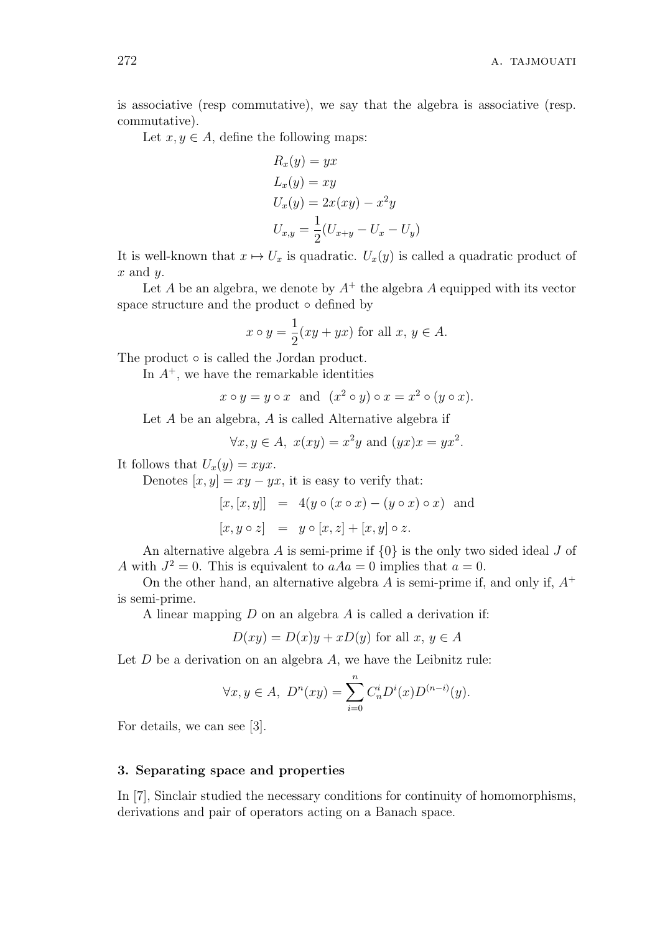is associative (resp commutative), we say that the algebra is associative (resp. commutative).

Let  $x, y \in A$ , define the following maps:

$$
R_x(y) = yx
$$
  
\n
$$
L_x(y) = xy
$$
  
\n
$$
U_x(y) = 2x(xy) - x^2y
$$
  
\n
$$
U_{x,y} = \frac{1}{2}(U_{x+y} - U_x - U_y)
$$

It is well-known that  $x \mapsto U_x$  is quadratic.  $U_x(y)$  is called a quadratic product of *x* and *y*.

Let  $A$  be an algebra, we denote by  $A^+$  the algebra  $A$  equipped with its vector space structure and the product *◦* defined by

$$
x \circ y = \frac{1}{2}(xy + yx)
$$
 for all  $x, y \in A$ .

The product *◦* is called the Jordan product.

In  $A^+$ , we have the remarkable identities

$$
x \circ y = y \circ x
$$
 and  $(x^2 \circ y) \circ x = x^2 \circ (y \circ x)$ .

Let *A* be an algebra, *A* is called Alternative algebra if

$$
\forall x, y \in A, \ x(xy) = x^2y \text{ and } (yx)x = yx^2.
$$

It follows that  $U_x(y) = xyx$ .

Denotes  $[x, y] = xy - yx$ , it is easy to verify that:

$$
[x, [x, y]] = 4(y \circ (x \circ x) - (y \circ x) \circ x)
$$
 and  

$$
[x, y \circ z] = y \circ [x, z] + [x, y] \circ z.
$$

An alternative algebra *A* is semi-prime if *{*0*}* is the only two sided ideal *J* of *A* with  $J^2 = 0$ . This is equivalent to  $a A a = 0$  implies that  $a = 0$ .

On the other hand, an alternative algebra *A* is semi-prime if, and only if, *A*<sup>+</sup> is semi-prime.

A linear mapping *D* on an algebra *A* is called a derivation if:

$$
D(xy) = D(x)y + xD(y)
$$
 for all  $x, y \in A$ 

Let *D* be a derivation on an algebra *A*, we have the Leibnitz rule:

$$
\forall x, y \in A, \ D^n(xy) = \sum_{i=0}^n C_n^i D^i(x) D^{(n-i)}(y).
$$

For details, we can see [3].

#### **3. Separating space and properties**

In [7], Sinclair studied the necessary conditions for continuity of homomorphisms, derivations and pair of operators acting on a Banach space.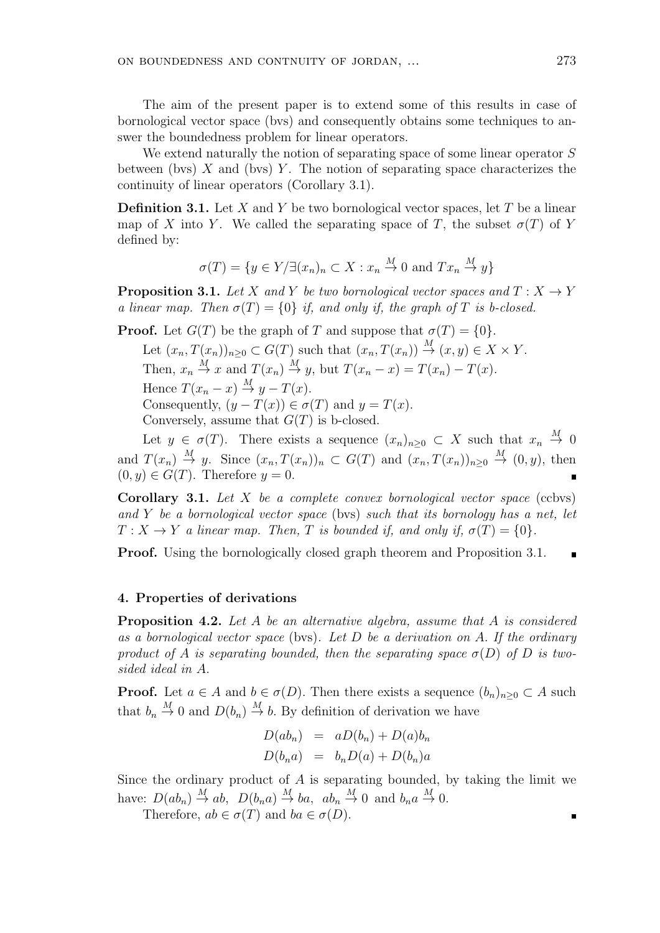The aim of the present paper is to extend some of this results in case of bornological vector space (bvs) and consequently obtains some techniques to answer the boundedness problem for linear operators.

We extend naturally the notion of separating space of some linear operator *S* between (bvs) *X* and (bvs) *Y* . The notion of separating space characterizes the continuity of linear operators (Corollary 3.1).

**Definition 3.1.** Let *X* and *Y* be two bornological vector spaces, let *T* be a linear map of *X* into *Y*. We called the separating space of *T*, the subset  $\sigma(T)$  of *Y* defined by:

$$
\sigma(T) = \{ y \in Y/\exists (x_n)_n \subset X : x_n \stackrel{M}{\to} 0 \text{ and } Tx_n \stackrel{M}{\to} y \}
$$

**Proposition 3.1.** Let *X* and *Y* be two bornological vector spaces and  $T : X \rightarrow Y$ *a linear map. Then*  $\sigma(T) = \{0\}$  *if, and only if, the graph of T is b-closed.* 

**Proof.** Let  $G(T)$  be the graph of *T* and suppose that  $\sigma(T) = \{0\}$ .

Let  $(x_n, T(x_n))_{n\geq 0} \subset G(T)$  such that  $(x_n, T(x_n)) \stackrel{M}{\to} (x, y) \in X \times Y$ .

Then,  $x_n \stackrel{M}{\to} x$  and  $T(x_n) \stackrel{M}{\to} y$ , but  $T(x_n - x) = T(x_n) - T(x)$ .

Hence  $T(x_n - x) \stackrel{M}{\rightarrow} y - T(x)$ .

Consequently,  $(y - T(x)) \in \sigma(T)$  and  $y = T(x)$ .

Conversely, assume that *G*(*T*) is b-closed.

Let  $y \in \sigma(T)$ . There exists a sequence  $(x_n)_{n\geq 0} \subset X$  such that  $x_n \stackrel{M}{\to} 0$ and  $T(x_n) \stackrel{M}{\to} y$ . Since  $(x_n, T(x_n))_n \subset G(T)$  and  $(x_n, T(x_n))_{n \geq 0} \stackrel{M}{\to} (0, y)$ , then  $(0, y) \in G(T)$ . Therefore  $y = 0$ .

**Corollary 3.1.** *Let X be a complete convex bornological vector space* (ccbvs) *and Y be a bornological vector space* (bvs) *such that its bornology has a net, let*  $T: X \to Y$  *a linear map. Then, T is bounded if, and only if,*  $\sigma(T) = \{0\}$ *.* 

**Proof.** Using the bornologically closed graph theorem and Proposition 3.1.

#### **4. Properties of derivations**

**Proposition 4.2.** *Let A be an alternative algebra, assume that A is considered as a bornological vector space* (bvs)*. Let D be a derivation on A. If the ordinary product of A is separating bounded, then the separating space*  $\sigma(D)$  *of D is twosided ideal in A.*

**Proof.** Let  $a \in A$  and  $b \in \sigma(D)$ . Then there exists a sequence  $(b_n)_{n \geq 0} \subset A$  such that  $b_n \stackrel{M}{\rightarrow} 0$  and  $D(b_n) \stackrel{M}{\rightarrow} b$ . By definition of derivation we have

$$
D(ab_n) = aD(b_n) + D(a)b_n
$$
  

$$
D(b_na) = b_nD(a) + D(b_n)a
$$

Since the ordinary product of *A* is separating bounded, by taking the limit we have:  $D(ab_n) \stackrel{M}{\rightarrow} ab$ ,  $D(b_na) \stackrel{M}{\rightarrow} ba$ ,  $ab_n \stackrel{M}{\rightarrow} 0$  and  $b_na \stackrel{M}{\rightarrow} 0$ .

Therefore,  $ab \in \sigma(T)$  and  $ba \in \sigma(D)$ .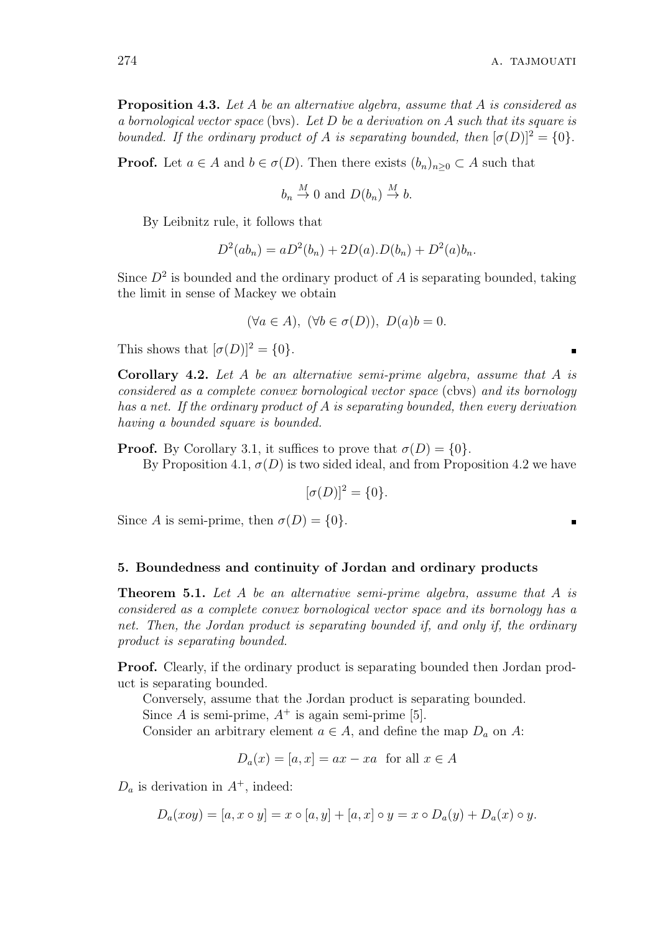$\blacksquare$ 

 $\blacksquare$ 

**Proposition 4.3.** *Let A be an alternative algebra, assume that A is considered as a bornological vector space* (bvs)*. Let D be a derivation on A such that its square is bounded. If the ordinary product of A is separating bounded, then*  $[\sigma(D)]^2 = \{0\}$ *.* 

**Proof.** Let  $a \in A$  and  $b \in \sigma(D)$ . Then there exists  $(b_n)_{n \geq 0} \subset A$  such that

$$
b_n \stackrel{M}{\rightarrow} 0
$$
 and  $D(b_n) \stackrel{M}{\rightarrow} b$ .

By Leibnitz rule, it follows that

$$
D^{2}(ab_{n}) = aD^{2}(b_{n}) + 2D(a)D(b_{n}) + D^{2}(a)b_{n}.
$$

Since  $D^2$  is bounded and the ordinary product of  $A$  is separating bounded, taking the limit in sense of Mackey we obtain

$$
(\forall a \in A), \ (\forall b \in \sigma(D)), \ D(a)b = 0.
$$

This shows that  $[\sigma(D)]^2 = \{0\}$ *.* 

**Corollary 4.2.** *Let A be an alternative semi-prime algebra, assume that A is considered as a complete convex bornological vector space* (cbvs) *and its bornology has a net. If the ordinary product of A is separating bounded, then every derivation having a bounded square is bounded.*

**Proof.** By Corollary 3.1, it suffices to prove that  $\sigma(D) = \{0\}$ *.* By Proposition 4.1,  $\sigma(D)$  is two sided ideal, and from Proposition 4.2 we have

$$
[\sigma(D)]^2 = \{0\}.
$$

Since *A* is semi-prime, then  $\sigma(D) = \{0\}$ *.* 

#### **5. Boundedness and continuity of Jordan and ordinary products**

**Theorem 5.1.** *Let A be an alternative semi-prime algebra, assume that A is considered as a complete convex bornological vector space and its bornology has a net. Then, the Jordan product is separating bounded if, and only if, the ordinary product is separating bounded.*

**Proof.** Clearly, if the ordinary product is separating bounded then Jordan product is separating bounded.

Conversely, assume that the Jordan product is separating bounded.

Since *A* is semi-prime,  $A^+$  is again semi-prime [5].

Consider an arbitrary element  $a \in A$ , and define the map  $D_a$  on  $A$ :

$$
D_a(x) = [a, x] = ax - xa \text{ for all } x \in A
$$

 $D_a$  is derivation in  $A^+$ , indeed:

$$
D_a(xoy) = [a, x \circ y] = x \circ [a, y] + [a, x] \circ y = x \circ D_a(y) + D_a(x) \circ y.
$$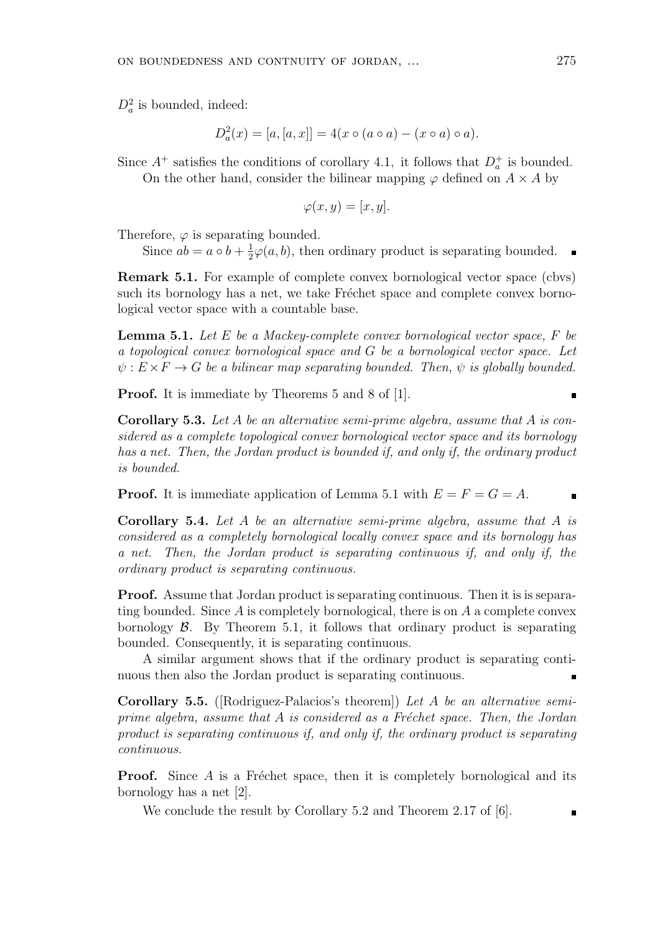$D_a^2$  is bounded, indeed:

$$
D_a^2(x) = [a, [a, x]] = 4(x \circ (a \circ a) - (x \circ a) \circ a).
$$

Since  $A^+$  satisfies the conditions of corollary 4.1, it follows that  $D_a^+$  is bounded.

On the other hand, consider the bilinear mapping  $\varphi$  defined on  $A \times A$  by

$$
\varphi(x,y) = [x,y].
$$

Therefore,  $\varphi$  is separating bounded.

Since  $ab = a \circ b + \frac{1}{2}$  $\frac{1}{2}\varphi(a,b)$ , then ordinary product is separating bounded.

**Remark 5.1.** For example of complete convex bornological vector space (cbvs) such its bornology has a net, we take Fréchet space and complete convex bornological vector space with a countable base.

**Lemma 5.1.** *Let E be a Mackey-complete convex bornological vector space, F be a topological convex bornological space and G be a bornological vector space. Let*  $\psi: E \times F \to G$  *be a bilinear map separating bounded. Then,*  $\psi$  *is globally bounded.* 

**Proof.** It is immediate by Theorems 5 and 8 of [1].

**Corollary 5.3.** *Let A be an alternative semi-prime algebra, assume that A is considered as a complete topological convex bornological vector space and its bornology has a net. Then, the Jordan product is bounded if, and only if, the ordinary product is bounded.*

**Proof.** It is immediate application of Lemma 5.1 with  $E = F = G = A$ .

**Corollary 5.4.** *Let A be an alternative semi-prime algebra, assume that A is considered as a completely bornological locally convex space and its bornology has a net. Then, the Jordan product is separating continuous if, and only if, the ordinary product is separating continuous.*

**Proof.** Assume that Jordan product is separating continuous. Then it is is separating bounded. Since *A* is completely bornological, there is on *A* a complete convex bornology  $\beta$ . By Theorem 5.1, it follows that ordinary product is separating bounded. Consequently, it is separating continuous.

A similar argument shows that if the ordinary product is separating continuous then also the Jordan product is separating continuous.

**Corollary 5.5.** ([Rodriguez-Palacios's theorem]) *Let A be an alternative semiprime algebra, assume that A is considered as a Fréchet space. Then, the Jordan product is separating continuous if, and only if, the ordinary product is separating continuous.*

**Proof.** Since A is a Fréchet space, then it is completely bornological and its bornology has a net [2].

We conclude the result by Corollary 5.2 and Theorem 2.17 of [6].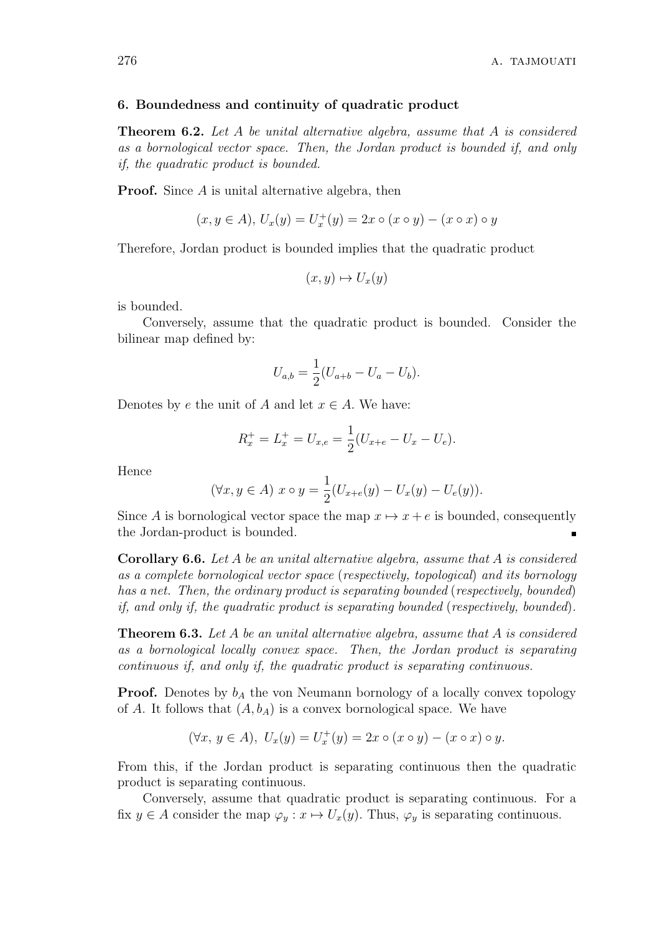#### **6. Boundedness and continuity of quadratic product**

**Theorem 6.2.** *Let A be unital alternative algebra, assume that A is considered as a bornological vector space. Then, the Jordan product is bounded if, and only if, the quadratic product is bounded.*

**Proof.** Since *A* is unital alternative algebra, then

$$
(x, y \in A), U_x(y) = U_x^+(y) = 2x \circ (x \circ y) - (x \circ x) \circ y
$$

Therefore, Jordan product is bounded implies that the quadratic product

$$
(x, y) \mapsto U_x(y)
$$

is bounded.

Conversely, assume that the quadratic product is bounded. Consider the bilinear map defined by:

$$
U_{a,b} = \frac{1}{2}(U_{a+b} - U_a - U_b).
$$

Denotes by *e* the unit of *A* and let  $x \in A$ . We have:

$$
R_x^+ = L_x^+ = U_{x,e} = \frac{1}{2}(U_{x+e} - U_x - U_e).
$$

Hence

$$
(\forall x, y \in A) \ x \circ y = \frac{1}{2}(U_{x+e}(y) - U_x(y) - U_e(y)).
$$

Since *A* is bornological vector space the map  $x \mapsto x + e$  is bounded, consequently the Jordan-product is bounded.

**Corollary 6.6.** *Let A be an unital alternative algebra, assume that A is considered as a complete bornological vector space* (*respectively, topological*) *and its bornology has a net. Then, the ordinary product is separating bounded* (*respectively, bounded*) *if, and only if, the quadratic product is separating bounded* (*respectively, bounded*)*.*

**Theorem 6.3.** *Let A be an unital alternative algebra, assume that A is considered as a bornological locally convex space. Then, the Jordan product is separating continuous if, and only if, the quadratic product is separating continuous.*

**Proof.** Denotes by  $b_A$  the von Neumann bornology of a locally convex topology of *A*. It follows that  $(A, b<sub>A</sub>)$  is a convex bornological space. We have

$$
(\forall x, y \in A), U_x(y) = U_x^+(y) = 2x \circ (x \circ y) - (x \circ x) \circ y.
$$

From this, if the Jordan product is separating continuous then the quadratic product is separating continuous.

Conversely, assume that quadratic product is separating continuous. For a fix  $y \in A$  consider the map  $\varphi_y : x \mapsto U_x(y)$ . Thus,  $\varphi_y$  is separating continuous.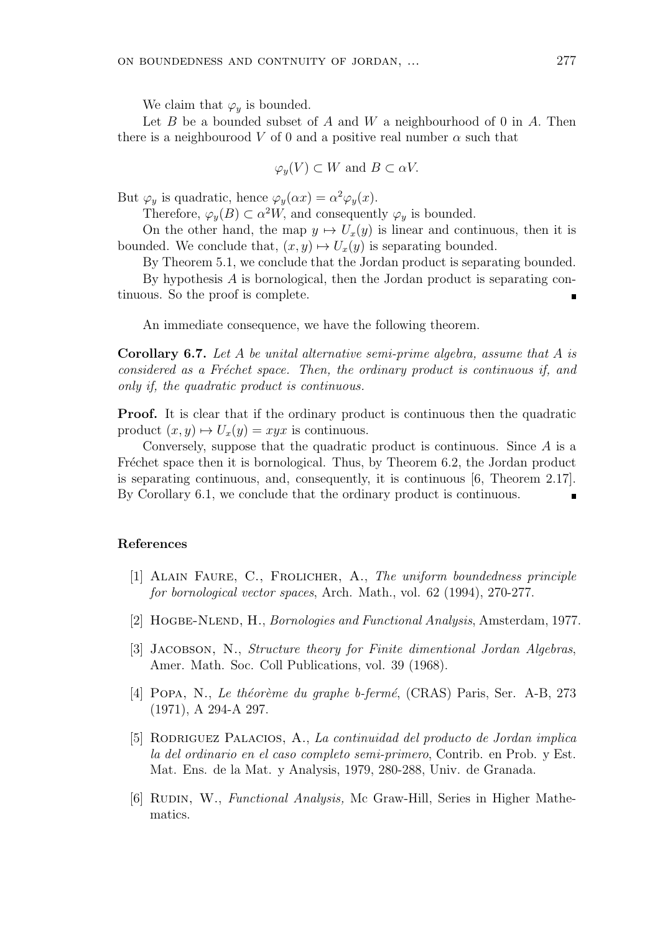We claim that  $\varphi_y$  is bounded.

Let *B* be a bounded subset of *A* and *W* a neighbourhood of 0 in *A.* Then there is a neighbourood *V* of 0 and a positive real number  $\alpha$  such that

$$
\varphi_y(V) \subset W
$$
 and  $B \subset \alpha V$ .

But  $\varphi_y$  is quadratic, hence  $\varphi_y(\alpha x) = \alpha^2 \varphi_y(x)$ .

Therefore,  $\varphi_y(B) \subset \alpha^2 W$ , and consequently  $\varphi_y$  is bounded.

On the other hand, the map  $y \mapsto U_x(y)$  is linear and continuous, then it is bounded. We conclude that,  $(x, y) \mapsto U_x(y)$  is separating bounded.

By Theorem 5.1, we conclude that the Jordan product is separating bounded.

By hypothesis *A* is bornological, then the Jordan product is separating continuous. So the proof is complete.

An immediate consequence, we have the following theorem.

**Corollary 6.7.** *Let A be unital alternative semi-prime algebra, assume that A is considered as a Fr´echet space. Then, the ordinary product is continuous if, and only if, the quadratic product is continuous.*

**Proof.** It is clear that if the ordinary product is continuous then the quadratic product  $(x, y) \mapsto U_x(y) = xyx$  is continuous.

Conversely, suppose that the quadratic product is continuous. Since *A* is a Fréchet space then it is bornological. Thus, by Theorem 6.2, the Jordan product is separating continuous, and, consequently, it is continuous [6, Theorem 2.17]. By Corollary 6.1, we conclude that the ordinary product is continuous.

#### **References**

- [1] Alain Faure, C., Frolicher, A., *The uniform boundedness principle for bornological vector spaces*, Arch. Math., vol. 62 (1994), 270-277.
- [2] Hogbe-Nlend, H., *Bornologies and Functional Analysis*, Amsterdam, 1977.
- [3] Jacobson, N., *Structure theory for Finite dimentional Jordan Algebras*, Amer. Math. Soc. Coll Publications, vol. 39 (1968).
- [4] POPA, N., *Le théorème du graphe b-fermé*, (CRAS) Paris, Ser. A-B, 273 (1971), A 294-A 297.
- [5] Rodriguez Palacios, A., *La continuidad del producto de Jordan implica la del ordinario en el caso completo semi-primero*, Contrib. en Prob. y Est. Mat. Ens. de la Mat. y Analysis, 1979, 280-288, Univ. de Granada.
- [6] Rudin, W., *Functional Analysis,* Mc Graw-Hill, Series in Higher Mathematics.